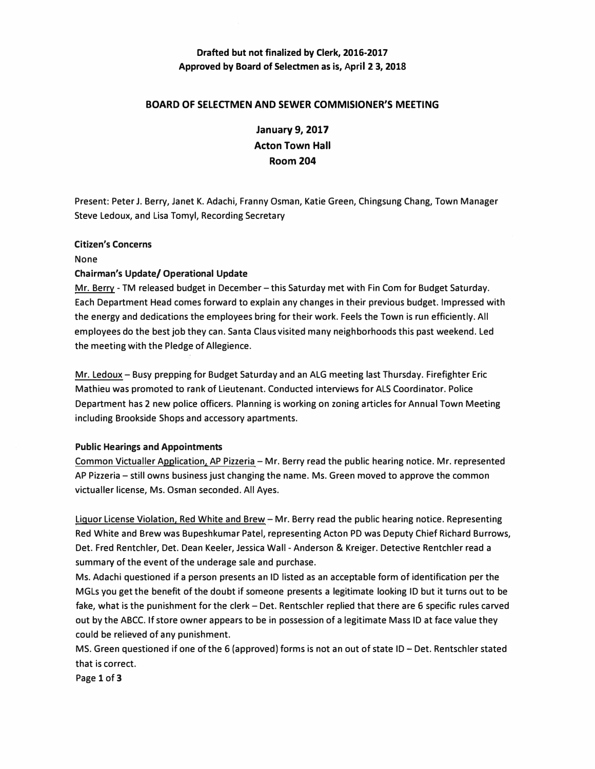## **Drafted but not finalized by Clerk, 2016-2017 Approved by Board of Selectmen as is, April 23, 2018**

### **BOARD OF SELECTMEN AND SEWER COMMISIONER'S MEETING**

**January 9, 2017 Acton Town Hall Room 204** 

**Present: Peter J. Berry, Janet K. Adachi, Franny Osman, Katie Green, Chingsung Chang, Town Manager Steve Ledoux, and Lisa Tomyl, Recording Secretary** 

#### **Citizen's Concerns**

**None** 

#### **Chairman's Update/ Operational Update**

**Mr. Berry - TM released budget in December-this Saturday met with Fin Com for Budget Saturday. Each Department Head comes forward to explain any changes in their previous budget. Impressed with the energy and dedications the employees bring for their work. Feels the Town is run efficiently. All employees do the best job they can. Santa Claus visited many neighborhoods this past weekend. Led the meeting with the Pledge of Allegience.** 

**Mr. Ledoux-Busy prepping for Budget Saturday and an ALG meeting last Thursday. Firefighter Eric Mathieu was promoted to rank of Lieutenant. Conducted interviews for ALS Coordinator. Police Department has 2 new police officers. Planning is working on zoning articles for Annual Town Meeting including Brookside Shops and accessory apartments.** 

#### **Public Hearings and Appointments**

**Common Victualler Application, AP Pizzeria-Mr. Berry read the public hearing notice. Mr. represented AP Pizzeria-still owns business just changing the name. Ms. Green moved to approve the common victualler license, Ms. Osman seconded. All Ayes.** 

**Liquor License Violation. Red White and Brew-Mr. Berry read the public hearing notice. Representing Red White and Brew was Bupeshkumar Patel, representing Acton PD was Deputy Chief Richard Burrows, Det. Fred Rentchler, Det. Dean Keeler, Jessica Wall - Anderson & Kreiger. Detective Rentchler read a summary of the event of the underage sale and purchase.** 

**Ms. Adachi questioned if a person presents an ID listed as an acceptable form of identification per the MGLs you get the benefit of the doubt if someone presents a legitimate looking ID but it turns out to be**  fake, what is the punishment for the clerk - Det. Rentschler replied that there are 6 specific rules carved **out by the ABCC. If store owner appears to be in possession of a legitimate Mass ID at face value they could be relieved of any punishment.** 

**MS. Green questioned if one of the 6 (approved) forms is not an out of state ID- Det. Rentschler stated that is correct.** 

**Page 1 of3**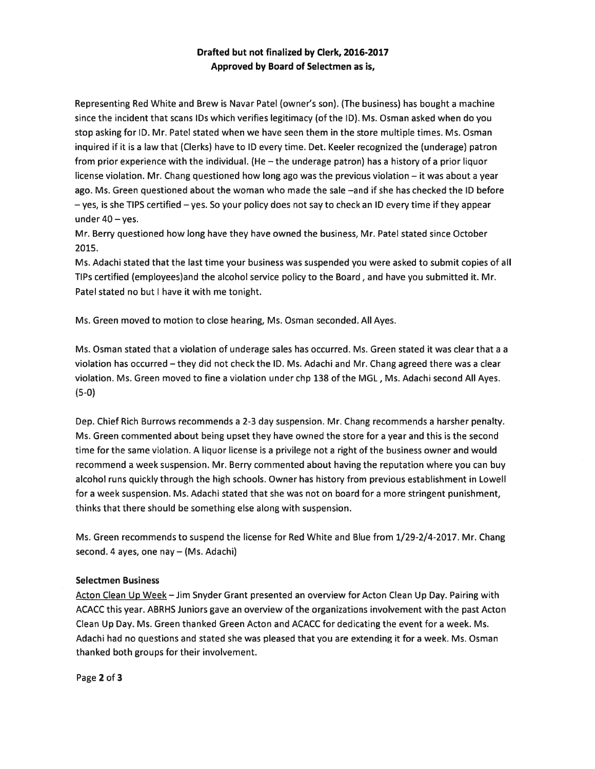## Drafted but not finalized by Clerk, 2016-2017 Approved by Board of Selectmen as is,

Representing Red White and Brew is Navar Patel (owner's son). (The business) has bought <sup>a</sup> machine since the incident that scans IDs which verifies legitimacy (of the ID). Ms. Osman asked when do you stop asking for ID. Mr. Patel stated when we have seen them in the store multiple times. Ms. Osman inquired if it is <sup>a</sup> law that (Clerks) have to ID every time. Det. Keeler recognized the (underage) patron from prior experience with the individual. (He — the underage patron) has <sup>a</sup> history of <sup>a</sup> prior liquor license violation. Mr. Chang questioned how long ago was the previous violation — it was about <sup>a</sup> year ago. Ms. Green questioned about the woman who made the sale —and if she has checked the ID before — yes, is she TIPS certified — yes. So your policy does not say to check an ID every time if they appear under 40— yes.

Mr. Berry questioned how long have they have owned the business, Mr. Patel stated since October 2015,

Ms. Adachi stated that the last time your business was suspended you were asked to submit copies of all TIPs certified (employees)and the alcohol service policy to the Board, and have you submitted it. Mr. Patel stated no but I have it with me tonight.

Ms. Green moved to motion to close hearing, Ms. Osman seconded. All Ayes.

Ms. Osman stated that <sup>a</sup> violation of underage sales has occurred. Ms. Green stated it was clear that <sup>a</sup> <sup>a</sup> violation has occurred —they did not check the ID. Ms. Adachi and Mr. Chang agreed there was <sup>a</sup> clear violation. Ms. Green moved to fine <sup>a</sup> violation under chp 132 of the MGL, Ms. Adachi second All Ayes. (5-0)

Dep. Chief Rich Burrows recommends <sup>a</sup> 2-3 day suspension. Mr. Chang recommends <sup>a</sup> harsher penalty. Ms. Green commented about being upse<sup>t</sup> they have owned the store for <sup>a</sup> year and this is the second time for the same violation. A liquor license is <sup>a</sup> privilege not <sup>a</sup> right of the business owner and would recommend <sup>a</sup> week suspension. Mr. Berry commented about having the reputation where you can buy alcohol runs quickly through the high schools. Owner has history from previous establishment in Lowell for <sup>a</sup> week suspension. Ms. Adachi stated that she was not on board for <sup>a</sup> more stringent punishment, thinks that there should be something else along with suspension.

Ms. Green recommends to suspend the license for Red White and Blue from 1/29-2/4-2017. Mr. Chang second. 4 ayes, one nay — (Ms. Adachi)

#### Selectmen Business

Acton Clean Up Week —Jim Snyder Grant presented an overview for Acton Clean Up Day. Pairing with ACACC this year. ABRHS Juniors gave an overview of the organizations involvement with the pas<sup>t</sup> Acton Clean Up Day. Ms. Green thanked Green Acton and ACACC for dedicating the event for <sup>a</sup> week. Ms. Adachi had no questions and stated she was pleased that you are extending it for <sup>a</sup> week. Ms. Osman thanked both groups for their involvement.

Page 2 of 3